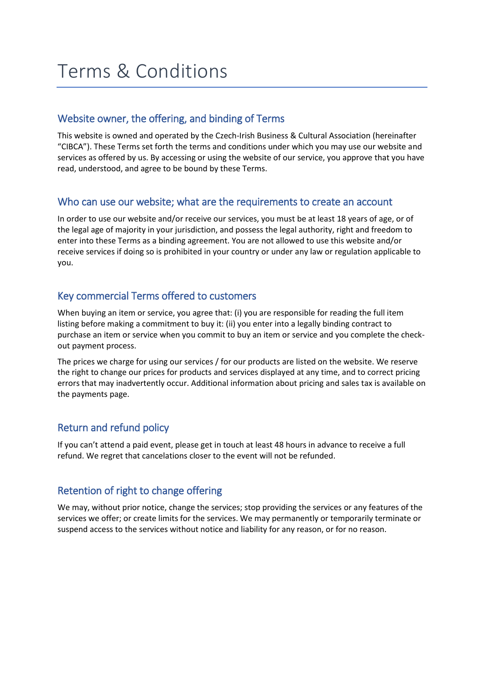# Terms & Conditions

## Website owner, the offering, and binding of Terms

This website is owned and operated by the Czech-Irish Business & Cultural Association (hereinafter "CIBCA"). These Terms set forth the terms and conditions under which you may use our website and services as offered by us. By accessing or using the website of our service, you approve that you have read, understood, and agree to be bound by these Terms.

#### Who can use our website; what are the requirements to create an account

In order to use our website and/or receive our services, you must be at least 18 years of age, or of the legal age of majority in your jurisdiction, and possess the legal authority, right and freedom to enter into these Terms as a binding agreement. You are not allowed to use this website and/or receive services if doing so is prohibited in your country or under any law or regulation applicable to you.

#### Key commercial Terms offered to customers

When buying an item or service, you agree that: (i) you are responsible for reading the full item listing before making a commitment to buy it: (ii) you enter into a legally binding contract to purchase an item or service when you commit to buy an item or service and you complete the checkout payment process.

The prices we charge for using our services / for our products are listed on the website. We reserve the right to change our prices for products and services displayed at any time, and to correct pricing errors that may inadvertently occur. Additional information about pricing and sales tax is available on the payments page.

# Return and refund policy

If you can't attend a paid event, please get in touch at least 48 hours in advance to receive a full refund. We regret that cancelations closer to the event will not be refunded.

#### Retention of right to change offering

We may, without prior notice, change the services; stop providing the services or any features of the services we offer; or create limits for the services. We may permanently or temporarily terminate or suspend access to the services without notice and liability for any reason, or for no reason.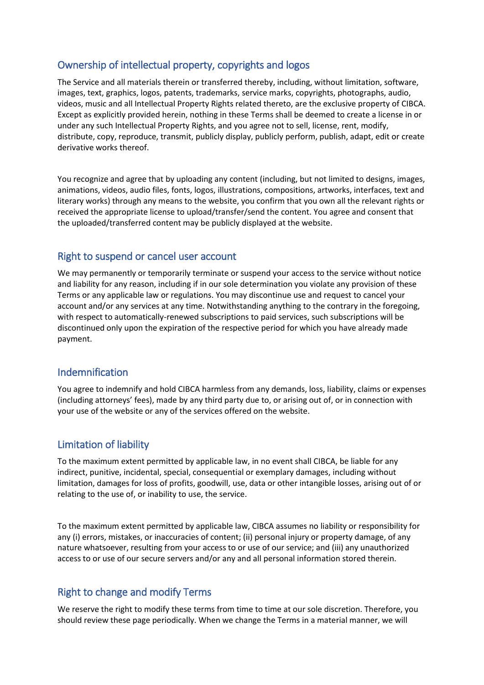# Ownership of intellectual property, copyrights and logos

The Service and all materials therein or transferred thereby, including, without limitation, software, images, text, graphics, logos, patents, trademarks, service marks, copyrights, photographs, audio, videos, music and all Intellectual Property Rights related thereto, are the exclusive property of CIBCA. Except as explicitly provided herein, nothing in these Terms shall be deemed to create a license in or under any such Intellectual Property Rights, and you agree not to sell, license, rent, modify, distribute, copy, reproduce, transmit, publicly display, publicly perform, publish, adapt, edit or create derivative works thereof.

You recognize and agree that by uploading any content (including, but not limited to designs, images, animations, videos, audio files, fonts, logos, illustrations, compositions, artworks, interfaces, text and literary works) through any means to the website, you confirm that you own all the relevant rights or received the appropriate license to upload/transfer/send the content. You agree and consent that the uploaded/transferred content may be publicly displayed at the website.

#### Right to suspend or cancel user account

We may permanently or temporarily terminate or suspend your access to the service without notice and liability for any reason, including if in our sole determination you violate any provision of these Terms or any applicable law or regulations. You may discontinue use and request to cancel your account and/or any services at any time. Notwithstanding anything to the contrary in the foregoing, with respect to automatically-renewed subscriptions to paid services, such subscriptions will be discontinued only upon the expiration of the respective period for which you have already made payment.

#### Indemnification

You agree to indemnify and hold CIBCA harmless from any demands, loss, liability, claims or expenses (including attorneys' fees), made by any third party due to, or arising out of, or in connection with your use of the website or any of the services offered on the website.

# Limitation of liability

To the maximum extent permitted by applicable law, in no event shall CIBCA, be liable for any indirect, punitive, incidental, special, consequential or exemplary damages, including without limitation, damages for loss of profits, goodwill, use, data or other intangible losses, arising out of or relating to the use of, or inability to use, the service.

To the maximum extent permitted by applicable law, CIBCA assumes no liability or responsibility for any (i) errors, mistakes, or inaccuracies of content; (ii) personal injury or property damage, of any nature whatsoever, resulting from your access to or use of our service; and (iii) any unauthorized access to or use of our secure servers and/or any and all personal information stored therein.

# Right to change and modify Terms

We reserve the right to modify these terms from time to time at our sole discretion. Therefore, you should review these page periodically. When we change the Terms in a material manner, we will